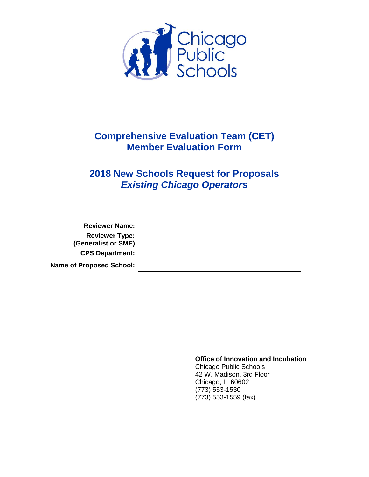

# **Comprehensive Evaluation Team (CET) Member Evaluation Form**

# **2018 New Schools Request for Proposals** *Existing Chicago Operators*

| <b>Reviewer Name:</b>           |  |
|---------------------------------|--|
| <b>Reviewer Type:</b>           |  |
| (Generalist or SME)             |  |
| <b>CPS Department:</b>          |  |
| <b>Name of Proposed School:</b> |  |

**Office of Innovation and Incubation** Chicago Public Schools 42 W. Madison, 3rd Floor Chicago, IL 60602 (773) 553-1530 (773) 553-1559 (fax)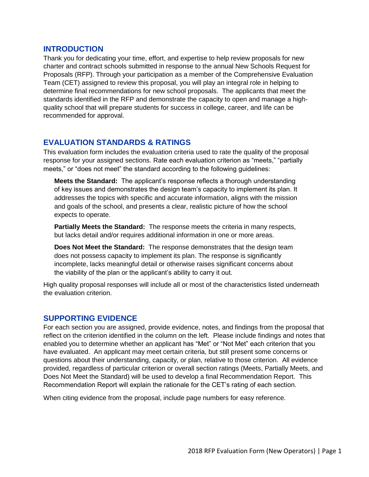#### **INTRODUCTION**

Thank you for dedicating your time, effort, and expertise to help review proposals for new charter and contract schools submitted in response to the annual New Schools Request for Proposals (RFP). Through your participation as a member of the Comprehensive Evaluation Team (CET) assigned to review this proposal, you will play an integral role in helping to determine final recommendations for new school proposals. The applicants that meet the standards identified in the RFP and demonstrate the capacity to open and manage a highquality school that will prepare students for success in college, career, and life can be recommended for approval.

### **EVALUATION STANDARDS & RATINGS**

This evaluation form includes the evaluation criteria used to rate the quality of the proposal response for your assigned sections. Rate each evaluation criterion as "meets," "partially meets," or "does not meet" the standard according to the following guidelines:

**Meets the Standard:** The applicant's response reflects a thorough understanding of key issues and demonstrates the design team's capacity to implement its plan. It addresses the topics with specific and accurate information, aligns with the mission and goals of the school, and presents a clear, realistic picture of how the school expects to operate.

**Partially Meets the Standard:** The response meets the criteria in many respects, but lacks detail and/or requires additional information in one or more areas.

**Does Not Meet the Standard:** The response demonstrates that the design team does not possess capacity to implement its plan. The response is significantly incomplete, lacks meaningful detail or otherwise raises significant concerns about the viability of the plan or the applicant's ability to carry it out.

High quality proposal responses will include all or most of the characteristics listed underneath the evaluation criterion.

#### **SUPPORTING EVIDENCE**

For each section you are assigned, provide evidence, notes, and findings from the proposal that reflect on the criterion identified in the column on the left. Please include findings and notes that enabled you to determine whether an applicant has "Met" or "Not Met" each criterion that you have evaluated. An applicant may meet certain criteria, but still present some concerns or questions about their understanding, capacity, or plan, relative to those criterion. All evidence provided, regardless of particular criterion or overall section ratings (Meets, Partially Meets, and Does Not Meet the Standard) will be used to develop a final Recommendation Report. This Recommendation Report will explain the rationale for the CET's rating of each section.

When citing evidence from the proposal, include page numbers for easy reference.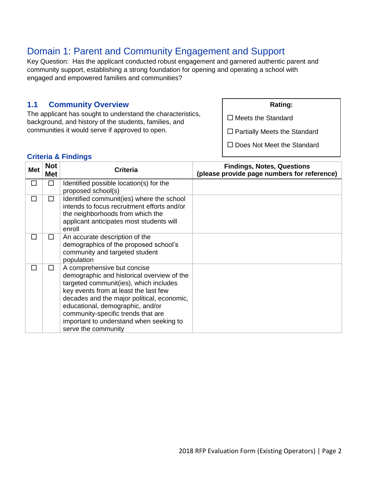# Domain 1: Parent and Community Engagement and Support

Key Question: Has the applicant conducted robust engagement and garnered authentic parent and community support, establishing a strong foundation for opening and operating a school with engaged and empowered families and communities?

# **1.1 Community Overview**

The applicant has sought to understand the characteristics, background, and history of the students, families, and communities it would serve if approved to open.

**Rating:**

 $\square$  Meets the Standard

 $\square$  Partially Meets the Standard

 $\square$  Does Not Meet the Standard

| <b>Met</b> | <b>Not</b><br><b>Met</b> | <b>Criteria</b>                                                                                                                                                                                                                                                                                                                                        | <b>Findings, Notes, Questions</b><br>(please provide page numbers for reference) |
|------------|--------------------------|--------------------------------------------------------------------------------------------------------------------------------------------------------------------------------------------------------------------------------------------------------------------------------------------------------------------------------------------------------|----------------------------------------------------------------------------------|
|            | П                        | Identified possible location(s) for the<br>proposed school(s)                                                                                                                                                                                                                                                                                          |                                                                                  |
| ΙI         | П                        | Identified communit(ies) where the school<br>intends to focus recruitment efforts and/or<br>the neighborhoods from which the<br>applicant anticipates most students will<br>enroll                                                                                                                                                                     |                                                                                  |
|            | ΙI                       | An accurate description of the<br>demographics of the proposed school's<br>community and targeted student<br>population                                                                                                                                                                                                                                |                                                                                  |
|            | П                        | A comprehensive but concise<br>demographic and historical overview of the<br>targeted communit(ies), which includes<br>key events from at least the last few<br>decades and the major political, economic,<br>educational, demographic, and/or<br>community-specific trends that are<br>important to understand when seeking to<br>serve the community |                                                                                  |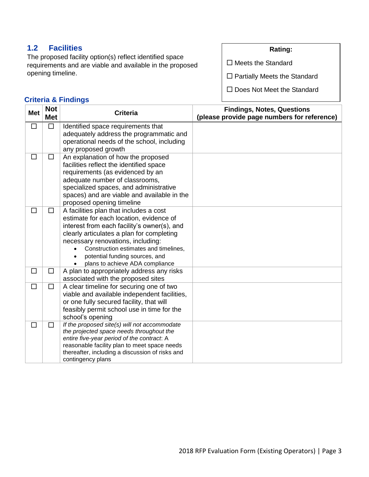# **1.2 Facilities**

**Criteria & Findings**

The proposed facility option(s) reflect identified space requirements and are viable and available in the proposed opening timeline.

## **Rating:**

 $\square$  Meets the Standard

□ Partially Meets the Standard

| <b>Met</b> | <b>Not</b><br><b>Met</b> | <b>Criteria</b>                                                                            | <b>Findings, Notes, Questions</b><br>(please provide page numbers for reference) |
|------------|--------------------------|--------------------------------------------------------------------------------------------|----------------------------------------------------------------------------------|
| $\Box$     | $\Box$                   | Identified space requirements that<br>adequately address the programmatic and              |                                                                                  |
|            |                          | operational needs of the school, including                                                 |                                                                                  |
|            |                          | any proposed growth                                                                        |                                                                                  |
| $\Box$     | $\Box$                   | An explanation of how the proposed                                                         |                                                                                  |
|            |                          | facilities reflect the identified space                                                    |                                                                                  |
|            |                          | requirements (as evidenced by an                                                           |                                                                                  |
|            |                          | adequate number of classrooms,                                                             |                                                                                  |
|            |                          | specialized spaces, and administrative                                                     |                                                                                  |
|            |                          | spaces) and are viable and available in the                                                |                                                                                  |
|            |                          | proposed opening timeline                                                                  |                                                                                  |
| □          | $\Box$                   | A facilities plan that includes a cost                                                     |                                                                                  |
|            |                          | estimate for each location, evidence of<br>interest from each facility's owner(s), and     |                                                                                  |
|            |                          | clearly articulates a plan for completing                                                  |                                                                                  |
|            |                          | necessary renovations, including:                                                          |                                                                                  |
|            |                          | Construction estimates and timelines,                                                      |                                                                                  |
|            |                          | potential funding sources, and                                                             |                                                                                  |
|            |                          | plans to achieve ADA compliance                                                            |                                                                                  |
| $\Box$     | $\Box$                   | A plan to appropriately address any risks                                                  |                                                                                  |
|            |                          | associated with the proposed sites                                                         |                                                                                  |
| $\Box$     | $\Box$                   | A clear timeline for securing one of two                                                   |                                                                                  |
|            |                          | viable and available independent facilities,                                               |                                                                                  |
|            |                          | or one fully secured facility, that will                                                   |                                                                                  |
|            |                          | feasibly permit school use in time for the                                                 |                                                                                  |
|            |                          | school's opening                                                                           |                                                                                  |
| $\Box$     | $\Box$                   | If the proposed site(s) will not accommodate                                               |                                                                                  |
|            |                          | the projected space needs throughout the                                                   |                                                                                  |
|            |                          | entire five-year period of the contract. A<br>reasonable facility plan to meet space needs |                                                                                  |
|            |                          | thereafter, including a discussion of risks and                                            |                                                                                  |
|            |                          | contingency plans                                                                          |                                                                                  |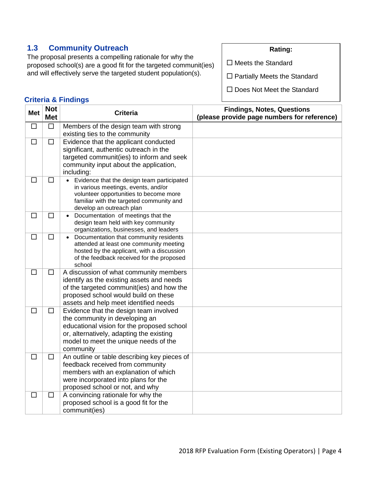# **1.3 Community Outreach**

The proposal presents a compelling rationale for why the proposed school(s) are a good fit for the targeted communit(ies) and will effectively serve the targeted student population(s).

### **Criteria & Findings**

**Rating:**

 $\square$  Meets the Standard

 $\square$  Partially Meets the Standard

| <b>Met</b> | <b>Not</b><br><b>Met</b> | <b>Criteria</b>                                                                                                                                                                                                          | <b>Findings, Notes, Questions</b><br>(please provide page numbers for reference) |
|------------|--------------------------|--------------------------------------------------------------------------------------------------------------------------------------------------------------------------------------------------------------------------|----------------------------------------------------------------------------------|
| $\Box$     | $\Box$                   | Members of the design team with strong<br>existing ties to the community                                                                                                                                                 |                                                                                  |
| $\Box$     | $\Box$                   | Evidence that the applicant conducted<br>significant, authentic outreach in the<br>targeted communit(ies) to inform and seek<br>community input about the application,<br>including:                                     |                                                                                  |
| □          | $\Box$                   | Evidence that the design team participated<br>in various meetings, events, and/or<br>volunteer opportunities to become more<br>familiar with the targeted community and<br>develop an outreach plan                      |                                                                                  |
| $\Box$     | $\Box$                   | Documentation of meetings that the<br>$\bullet$<br>design team held with key community<br>organizations, businesses, and leaders                                                                                         |                                                                                  |
| $\Box$     | $\Box$                   | Documentation that community residents<br>attended at least one community meeting<br>hosted by the applicant, with a discussion<br>of the feedback received for the proposed<br>school                                   |                                                                                  |
| $\Box$     | $\Box$                   | A discussion of what community members<br>identify as the existing assets and needs<br>of the targeted communit(ies) and how the<br>proposed school would build on these<br>assets and help meet identified needs        |                                                                                  |
| $\Box$     | $\Box$                   | Evidence that the design team involved<br>the community in developing an<br>educational vision for the proposed school<br>or, alternatively, adapting the existing<br>model to meet the unique needs of the<br>community |                                                                                  |
| $\Box$     | $\Box$                   | An outline or table describing key pieces of<br>feedback received from community<br>members with an explanation of which<br>were incorporated into plans for the<br>proposed school or not, and why                      |                                                                                  |
| $\Box$     | $\Box$                   | A convincing rationale for why the<br>proposed school is a good fit for the<br>communit(ies)                                                                                                                             |                                                                                  |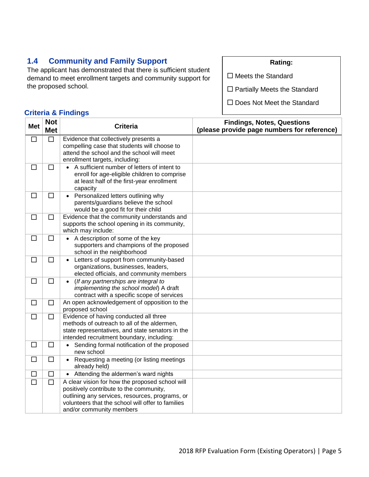# **1.4 Community and Family Support**

The applicant has demonstrated that there is sufficient student demand to meet enrollment targets and community support for the proposed school.

#### **Rating:**

 $\square$  Meets the Standard

 $\square$  Partially Meets the Standard

□ Does Not Meet the Standard

| <b>Met</b> | <b>Not</b><br><b>Met</b> | <b>Criteria</b>                                                                                                                                                                                                                | <b>Findings, Notes, Questions</b><br>(please provide page numbers for reference) |
|------------|--------------------------|--------------------------------------------------------------------------------------------------------------------------------------------------------------------------------------------------------------------------------|----------------------------------------------------------------------------------|
| □          | $\Box$                   | Evidence that collectively presents a<br>compelling case that students will choose to<br>attend the school and the school will meet<br>enrollment targets, including:                                                          |                                                                                  |
| $\Box$     | $\Box$                   | A sufficient number of letters of intent to<br>enroll for age-eligible children to comprise<br>at least half of the first-year enrollment<br>capacity                                                                          |                                                                                  |
| $\Box$     | $\Box$                   | Personalized letters outlining why<br>$\bullet$<br>parents/guardians believe the school<br>would be a good fit for their child                                                                                                 |                                                                                  |
| $\Box$     | $\Box$                   | Evidence that the community understands and<br>supports the school opening in its community,<br>which may include:                                                                                                             |                                                                                  |
| $\Box$     | $\Box$                   | A description of some of the key<br>supporters and champions of the proposed<br>school in the neighborhood                                                                                                                     |                                                                                  |
| $\Box$     | $\Box$                   | Letters of support from community-based<br>organizations, businesses, leaders,<br>elected officials, and community members                                                                                                     |                                                                                  |
| $\Box$     | $\Box$                   | (If any partnerships are integral to<br>implementing the school model) A draft<br>contract with a specific scope of services                                                                                                   |                                                                                  |
| $\Box$     | □                        | An open acknowledgement of opposition to the<br>proposed school                                                                                                                                                                |                                                                                  |
| $\Box$     | $\Box$                   | Evidence of having conducted all three<br>methods of outreach to all of the aldermen,<br>state representatives, and state senators in the<br>intended recruitment boundary, including:                                         |                                                                                  |
| $\Box$     | $\Box$                   | Sending formal notification of the proposed<br>new school                                                                                                                                                                      |                                                                                  |
| □          | $\Box$                   | Requesting a meeting (or listing meetings<br>already held)                                                                                                                                                                     |                                                                                  |
| $\Box$     | $\Box$                   | Attending the aldermen's ward nights<br>$\bullet$                                                                                                                                                                              |                                                                                  |
| $\Box$     | $\Box$                   | A clear vision for how the proposed school will<br>positively contribute to the community,<br>outlining any services, resources, programs, or<br>volunteers that the school will offer to families<br>and/or community members |                                                                                  |
|            |                          |                                                                                                                                                                                                                                |                                                                                  |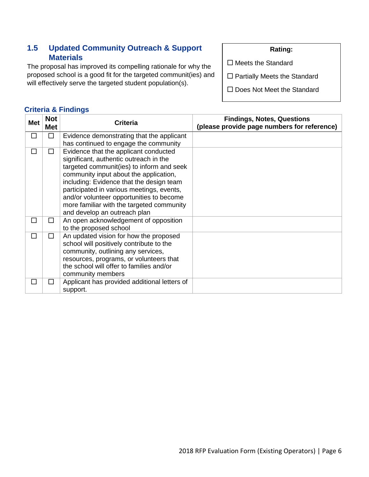# **1.5 Updated Community Outreach & Support Materials**

**Criteria & Findings**

The proposal has improved its compelling rationale for why the proposed school is a good fit for the targeted communit(ies) and will effectively serve the targeted student population(s).

#### **Rating:**

 $\square$  Meets the Standard

 $\square$  Partially Meets the Standard

□ Does Not Meet the Standard

| <b>Met</b> | <b>Not</b><br><b>Met</b> | <b>Criteria</b>                                                                                                                                                                                                                                                                                                                                                                          | <b>Findings, Notes, Questions</b><br>(please provide page numbers for reference) |
|------------|--------------------------|------------------------------------------------------------------------------------------------------------------------------------------------------------------------------------------------------------------------------------------------------------------------------------------------------------------------------------------------------------------------------------------|----------------------------------------------------------------------------------|
| □          | □                        | Evidence demonstrating that the applicant<br>has continued to engage the community                                                                                                                                                                                                                                                                                                       |                                                                                  |
| □          | $\Box$                   | Evidence that the applicant conducted<br>significant, authentic outreach in the<br>targeted communit(ies) to inform and seek<br>community input about the application,<br>including: Evidence that the design team<br>participated in various meetings, events,<br>and/or volunteer opportunities to become<br>more familiar with the targeted community<br>and develop an outreach plan |                                                                                  |
| □          | П                        | An open acknowledgement of opposition<br>to the proposed school                                                                                                                                                                                                                                                                                                                          |                                                                                  |
| П          | П                        | An updated vision for how the proposed<br>school will positively contribute to the<br>community, outlining any services,<br>resources, programs, or volunteers that<br>the school will offer to families and/or<br>community members                                                                                                                                                     |                                                                                  |
| ΙI         | $\blacksquare$           | Applicant has provided additional letters of<br>support.                                                                                                                                                                                                                                                                                                                                 |                                                                                  |

#### 2018 RFP Evaluation Form (Existing Operators) | Page 6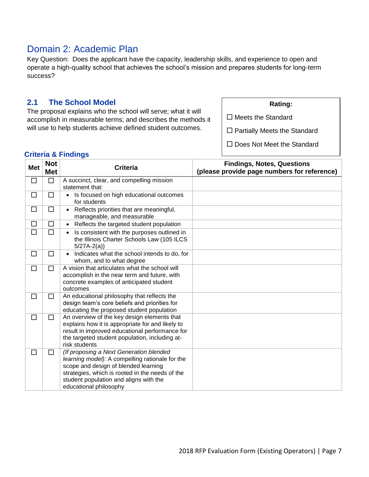# Domain 2: Academic Plan

Key Question: Does the applicant have the capacity, leadership skills, and experience to open and operate a high-quality school that achieves the school's mission and prepares students for long-term success?

### **2.1 The School Model**

The proposal explains who the school will serve; what it will accomplish in measurable terms; and describes the methods it will use to help students achieve defined student outcomes.

| Rating |
|--------|
|--------|

 $\square$  Meets the Standard

 $\square$  Partially Meets the Standard

□ Does Not Meet the Standard

| <b>Met</b> | <b>Not</b><br><b>Met</b> | <b>Criteria</b>                                                                                                                                                                                                                                           | <b>Findings, Notes, Questions</b><br>(please provide page numbers for reference) |
|------------|--------------------------|-----------------------------------------------------------------------------------------------------------------------------------------------------------------------------------------------------------------------------------------------------------|----------------------------------------------------------------------------------|
| □          | $\Box$                   | A succinct, clear, and compelling mission<br>statement that:                                                                                                                                                                                              |                                                                                  |
| $\Box$     | $\Box$                   | Is focused on high educational outcomes<br>$\bullet$<br>for students                                                                                                                                                                                      |                                                                                  |
| $\Box$     | $\Box$                   | Reflects priorities that are meaningful,<br>manageable, and measurable                                                                                                                                                                                    |                                                                                  |
| □          | □                        | Reflects the targeted student population<br>$\bullet$                                                                                                                                                                                                     |                                                                                  |
| $\Box$     | $\Box$                   | Is consistent with the purposes outlined in<br>$\bullet$<br>the Illinois Charter Schools Law (105 ILCS<br>$5/27A-2(a)$                                                                                                                                    |                                                                                  |
| □          | □                        | Indicates what the school intends to do, for<br>whom, and to what degree                                                                                                                                                                                  |                                                                                  |
| □          | $\Box$                   | A vision that articulates what the school will<br>accomplish in the near term and future, with<br>concrete examples of anticipated student<br>outcomes                                                                                                    |                                                                                  |
| $\Box$     | □                        | An educational philosophy that reflects the<br>design team's core beliefs and priorities for<br>educating the proposed student population                                                                                                                 |                                                                                  |
| □          | □                        | An overview of the key design elements that<br>explains how it is appropriate for and likely to<br>result in improved educational performance for<br>the targeted student population, including at-<br>risk students                                      |                                                                                  |
| □          | $\Box$                   | (If proposing a Next Generation blended<br>learning model): A compelling rationale for the<br>scope and design of blended learning<br>strategies, which is rooted in the needs of the<br>student population and aligns with the<br>educational philosophy |                                                                                  |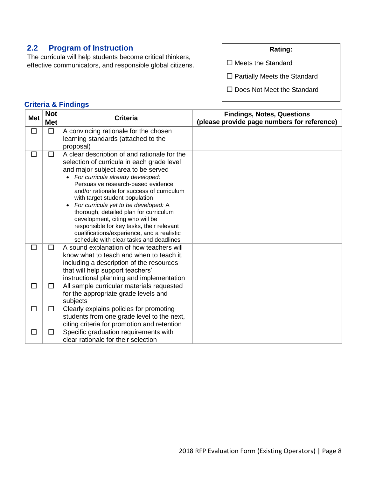# **2.2 Program of Instruction**

The curricula will help students become critical thinkers, effective communicators, and responsible global citizens. **Rating:**

 $\square$  Meets the Standard

□ Partially Meets the Standard

□ Does Not Meet the Standard

| <b>Met</b> | <b>Not</b><br><b>Met</b> | <b>Criteria</b>                                                                      | <b>Findings, Notes, Questions</b><br>(please provide page numbers for reference) |
|------------|--------------------------|--------------------------------------------------------------------------------------|----------------------------------------------------------------------------------|
| $\Box$     | $\Box$                   | A convincing rationale for the chosen                                                |                                                                                  |
|            |                          | learning standards (attached to the                                                  |                                                                                  |
|            |                          | proposal)                                                                            |                                                                                  |
| □          | $\Box$                   | A clear description of and rationale for the                                         |                                                                                  |
|            |                          | selection of curricula in each grade level<br>and major subject area to be served    |                                                                                  |
|            |                          | For curricula already developed:                                                     |                                                                                  |
|            |                          | Persuasive research-based evidence                                                   |                                                                                  |
|            |                          | and/or rationale for success of curriculum                                           |                                                                                  |
|            |                          | with target student population                                                       |                                                                                  |
|            |                          | For curricula yet to be developed: A                                                 |                                                                                  |
|            |                          | thorough, detailed plan for curriculum<br>development, citing who will be            |                                                                                  |
|            |                          | responsible for key tasks, their relevant                                            |                                                                                  |
|            |                          | qualifications/experience, and a realistic                                           |                                                                                  |
|            |                          | schedule with clear tasks and deadlines                                              |                                                                                  |
| $\Box$     | $\Box$                   | A sound explanation of how teachers will                                             |                                                                                  |
|            |                          | know what to teach and when to teach it,<br>including a description of the resources |                                                                                  |
|            |                          | that will help support teachers'                                                     |                                                                                  |
|            |                          | instructional planning and implementation                                            |                                                                                  |
| □          | □                        | All sample curricular materials requested                                            |                                                                                  |
|            |                          | for the appropriate grade levels and                                                 |                                                                                  |
|            |                          | subjects                                                                             |                                                                                  |
| $\Box$     | $\Box$                   | Clearly explains policies for promoting                                              |                                                                                  |
|            |                          | students from one grade level to the next,                                           |                                                                                  |
|            |                          | citing criteria for promotion and retention                                          |                                                                                  |
| □          | $\Box$                   | Specific graduation requirements with                                                |                                                                                  |
|            |                          | clear rationale for their selection                                                  |                                                                                  |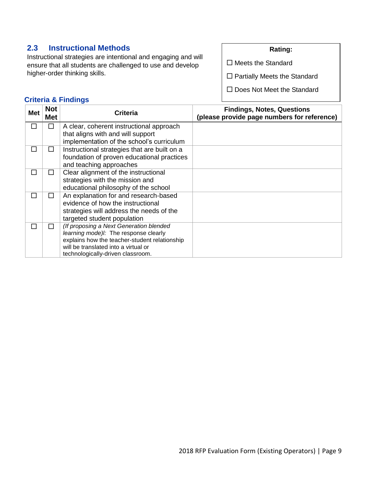# **2.3 Instructional Methods**

Instructional strategies are intentional and engaging and will ensure that all students are challenged to use and develop higher-order thinking skills.

#### **Rating:**

 $\square$  Meets the Standard

□ Partially Meets the Standard

□ Does Not Meet the Standard

| <b>Met</b> | <b>Not</b><br>Met | <b>Criteria</b>                               | <b>Findings, Notes, Questions</b><br>(please provide page numbers for reference) |
|------------|-------------------|-----------------------------------------------|----------------------------------------------------------------------------------|
| П          | П                 | A clear, coherent instructional approach      |                                                                                  |
|            |                   | that aligns with and will support             |                                                                                  |
|            |                   | implementation of the school's curriculum     |                                                                                  |
| П          | ΙI                | Instructional strategies that are built on a  |                                                                                  |
|            |                   | foundation of proven educational practices    |                                                                                  |
|            |                   | and teaching approaches                       |                                                                                  |
| П          | ΙI                | Clear alignment of the instructional          |                                                                                  |
|            |                   | strategies with the mission and               |                                                                                  |
|            |                   | educational philosophy of the school          |                                                                                  |
| П          | П                 | An explanation for and research-based         |                                                                                  |
|            |                   | evidence of how the instructional             |                                                                                  |
|            |                   | strategies will address the needs of the      |                                                                                  |
|            |                   | targeted student population                   |                                                                                  |
|            | ΙI                | (If proposing a Next Generation blended       |                                                                                  |
|            |                   | learning mode) !: The response clearly        |                                                                                  |
|            |                   | explains how the teacher-student relationship |                                                                                  |
|            |                   | will be translated into a virtual or          |                                                                                  |
|            |                   | technologically-driven classroom.             |                                                                                  |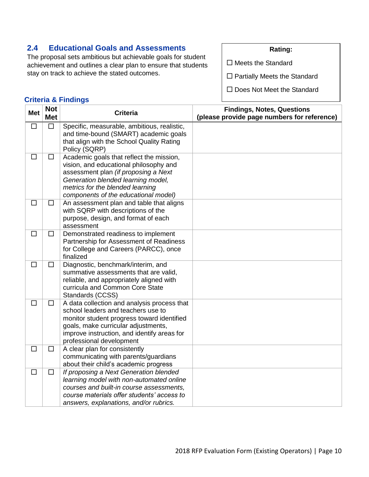# **2.4 Educational Goals and Assessments**

The proposal sets ambitious but achievable goals for student achievement and outlines a clear plan to ensure that students stay on track to achieve the stated outcomes.

#### **Rating:**

 $\square$  Meets the Standard

□ Partially Meets the Standard

□ Does Not Meet the Standard

| <b>Met</b> | <b>Not</b><br><b>Met</b> | <b>Criteria</b>                                                                                                                                                                                                                                   | <b>Findings, Notes, Questions</b><br>(please provide page numbers for reference) |
|------------|--------------------------|---------------------------------------------------------------------------------------------------------------------------------------------------------------------------------------------------------------------------------------------------|----------------------------------------------------------------------------------|
| $\Box$     | $\Box$                   | Specific, measurable, ambitious, realistic,<br>and time-bound (SMART) academic goals<br>that align with the School Quality Rating<br>Policy (SQRP)                                                                                                |                                                                                  |
| $\Box$     | $\Box$                   | Academic goals that reflect the mission,<br>vision, and educational philosophy and<br>assessment plan (if proposing a Next<br>Generation blended learning model,<br>metrics for the blended learning<br>components of the educational model)      |                                                                                  |
| $\Box$     | □                        | An assessment plan and table that aligns<br>with SQRP with descriptions of the<br>purpose, design, and format of each<br>assessment                                                                                                               |                                                                                  |
| $\Box$     | $\Box$                   | Demonstrated readiness to implement<br>Partnership for Assessment of Readiness<br>for College and Careers (PARCC), once<br>finalized                                                                                                              |                                                                                  |
| $\Box$     | $\Box$                   | Diagnostic, benchmark/interim, and<br>summative assessments that are valid,<br>reliable, and appropriately aligned with<br>curricula and Common Core State<br>Standards (CCSS)                                                                    |                                                                                  |
| $\Box$     | $\Box$                   | A data collection and analysis process that<br>school leaders and teachers use to<br>monitor student progress toward identified<br>goals, make curricular adjustments,<br>improve instruction, and identify areas for<br>professional development |                                                                                  |
| $\Box$     | $\Box$                   | A clear plan for consistently<br>communicating with parents/guardians<br>about their child's academic progress                                                                                                                                    |                                                                                  |
| $\Box$     | $\Box$                   | If proposing a Next Generation blended<br>learning model with non-automated online<br>courses and built-in course assessments,<br>course materials offer students' access to<br>answers, explanations, and/or rubrics.                            |                                                                                  |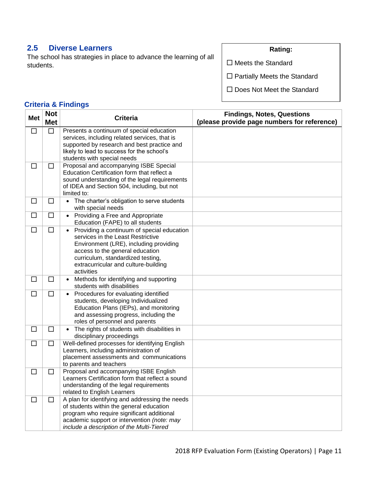# **2.5 Diverse Learners**

The school has strategies in place to advance the learning of all students.

#### **Rating:**

□ Meets the Standard

□ Partially Meets the Standard

□ Does Not Meet the Standard

| <b>Met</b> | <b>Not</b><br><b>Met</b> | <b>Criteria</b>                                                                                                                                                                                                                                         | <b>Findings, Notes, Questions</b><br>(please provide page numbers for reference) |
|------------|--------------------------|---------------------------------------------------------------------------------------------------------------------------------------------------------------------------------------------------------------------------------------------------------|----------------------------------------------------------------------------------|
| □          | $\Box$                   | Presents a continuum of special education<br>services, including related services, that is<br>supported by research and best practice and<br>likely to lead to success for the school's<br>students with special needs                                  |                                                                                  |
| $\Box$     | □                        | Proposal and accompanying ISBE Special<br>Education Certification form that reflect a<br>sound understanding of the legal requirements<br>of IDEA and Section 504, including, but not<br>limited to:                                                    |                                                                                  |
| □          | □                        | The charter's obligation to serve students<br>$\bullet$<br>with special needs                                                                                                                                                                           |                                                                                  |
| $\Box$     | $\Box$                   | Providing a Free and Appropriate<br>Education (FAPE) to all students                                                                                                                                                                                    |                                                                                  |
| $\Box$     | $\Box$                   | Providing a continuum of special education<br>services in the Least Restrictive<br>Environment (LRE), including providing<br>access to the general education<br>curriculum, standardized testing,<br>extracurricular and culture-building<br>activities |                                                                                  |
| $\Box$     | $\Box$                   | Methods for identifying and supporting<br>$\bullet$<br>students with disabilities                                                                                                                                                                       |                                                                                  |
| □          | $\Box$                   | Procedures for evaluating identified<br>$\bullet$<br>students, developing Individualized<br>Education Plans (IEPs), and monitoring<br>and assessing progress, including the<br>roles of personnel and parents                                           |                                                                                  |
| $\Box$     | $\Box$                   | The rights of students with disabilities in<br>$\bullet$<br>disciplinary proceedings                                                                                                                                                                    |                                                                                  |
| $\Box$     | $\Box$                   | Well-defined processes for identifying English<br>Learners, including administration of<br>placement assessments and communications<br>to parents and teachers                                                                                          |                                                                                  |
| $\Box$     | □                        | Proposal and accompanying ISBE English<br>Learners Certification form that reflect a sound<br>understanding of the legal requirements<br>related to English Learners                                                                                    |                                                                                  |
| □          | $\Box$                   | A plan for identifying and addressing the needs<br>of students within the general education<br>program who require significant additional<br>academic support or intervention (note: may<br>include a description of the Multi-Tiered                   |                                                                                  |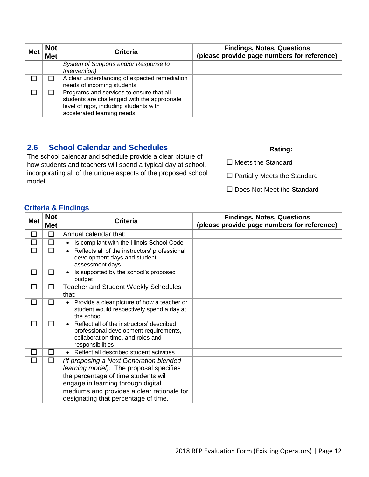| <b>Met</b> | <b>Not</b><br><b>Met</b> | Criteria                                                                                                                                                          | <b>Findings, Notes, Questions</b><br>(please provide page numbers for reference) |
|------------|--------------------------|-------------------------------------------------------------------------------------------------------------------------------------------------------------------|----------------------------------------------------------------------------------|
|            |                          | System of Supports and/or Response to<br>Intervention)                                                                                                            |                                                                                  |
|            |                          | A clear understanding of expected remediation<br>needs of incoming students                                                                                       |                                                                                  |
|            |                          | Programs and services to ensure that all<br>students are challenged with the appropriate<br>level of rigor, including students with<br>accelerated learning needs |                                                                                  |

# **2.6 School Calendar and Schedules**

The school calendar and schedule provide a clear picture of how students and teachers will spend a typical day at school, incorporating all of the unique aspects of the proposed school model.

| <b>Rating:</b>                      |
|-------------------------------------|
| $\Box$ Meets the Standard           |
| $\Box$ Partially Meets the Standard |

□ Does Not Meet the Standard

| <b>Met</b> | <b>Not</b><br><b>Met</b> | <b>Criteria</b>                                                                                                                                                                                                                                        | <b>Findings, Notes, Questions</b><br>(please provide page numbers for reference) |
|------------|--------------------------|--------------------------------------------------------------------------------------------------------------------------------------------------------------------------------------------------------------------------------------------------------|----------------------------------------------------------------------------------|
| □          | $\Box$                   | Annual calendar that:                                                                                                                                                                                                                                  |                                                                                  |
| П          | □                        | Is compliant with the Illinois School Code<br>$\bullet$                                                                                                                                                                                                |                                                                                  |
| $\Box$     | п                        | Reflects all of the instructors' professional<br>development days and student<br>assessment days                                                                                                                                                       |                                                                                  |
| $\Box$     | □                        | Is supported by the school's proposed<br>budget                                                                                                                                                                                                        |                                                                                  |
| □          | $\Box$                   | <b>Teacher and Student Weekly Schedules</b><br>that:                                                                                                                                                                                                   |                                                                                  |
| □          | п                        | Provide a clear picture of how a teacher or<br>$\bullet$<br>student would respectively spend a day at<br>the school                                                                                                                                    |                                                                                  |
| $\Box$     | □                        | Reflect all of the instructors' described<br>professional development requirements,<br>collaboration time, and roles and<br>responsibilities                                                                                                           |                                                                                  |
| □          | □                        | Reflect all described student activities<br>$\bullet$                                                                                                                                                                                                  |                                                                                  |
| $\Box$     | □                        | (If proposing a Next Generation blended<br>learning model): The proposal specifies<br>the percentage of time students will<br>engage in learning through digital<br>mediums and provides a clear rationale for<br>designating that percentage of time. |                                                                                  |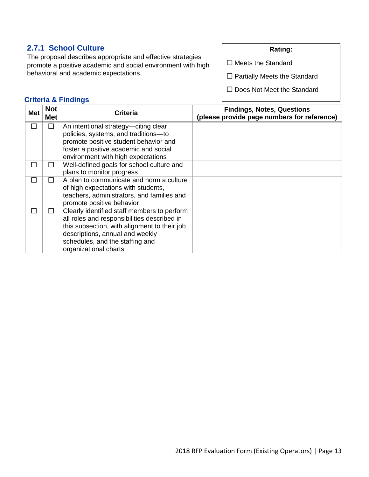# **2.7.1 School Culture**

The proposal describes appropriate and effective strategies promote a positive academic and social environment with high behavioral and academic expectations.

#### **Rating:**

 $\square$  Meets the Standard

□ Partially Meets the Standard

□ Does Not Meet the Standard

| Met          | <b>Not</b><br><b>Met</b> | <b>Criteria</b>                                                                                                                                                                                                                           | <b>Findings, Notes, Questions</b><br>(please provide page numbers for reference) |
|--------------|--------------------------|-------------------------------------------------------------------------------------------------------------------------------------------------------------------------------------------------------------------------------------------|----------------------------------------------------------------------------------|
| П            | П                        | An intentional strategy—citing clear<br>policies, systems, and traditions-to<br>promote positive student behavior and<br>foster a positive academic and social<br>environment with high expectations                                      |                                                                                  |
| ΙI           | $\mathsf{L}$             | Well-defined goals for school culture and<br>plans to monitor progress                                                                                                                                                                    |                                                                                  |
| П            | П                        | A plan to communicate and norm a culture<br>of high expectations with students,<br>teachers, administrators, and families and<br>promote positive behavior                                                                                |                                                                                  |
| $\mathsf{L}$ | $\mathsf{L}$             | Clearly identified staff members to perform<br>all roles and responsibilities described in<br>this subsection, with alignment to their job<br>descriptions, annual and weekly<br>schedules, and the staffing and<br>organizational charts |                                                                                  |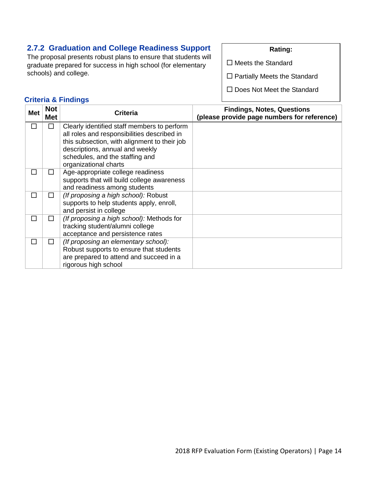# **2.7.2 Graduation and College Readiness Support**

The proposal presents robust plans to ensure that students will graduate prepared for success in high school (for elementary schools) and college.

#### **Rating:**

 $\square$  Meets the Standard

□ Partially Meets the Standard

□ Does Not Meet the Standard

| Met    | <b>Not</b><br>Met | <b>Criteria</b>                                                                                                                                    | <b>Findings, Notes, Questions</b><br>(please provide page numbers for reference) |
|--------|-------------------|----------------------------------------------------------------------------------------------------------------------------------------------------|----------------------------------------------------------------------------------|
| H      | П                 | Clearly identified staff members to perform<br>all roles and responsibilities described in<br>this subsection, with alignment to their job         |                                                                                  |
|        |                   | descriptions, annual and weekly<br>schedules, and the staffing and<br>organizational charts                                                        |                                                                                  |
| $\sim$ | П                 | Age-appropriate college readiness<br>supports that will build college awareness<br>and readiness among students                                    |                                                                                  |
| П      | П                 | (If proposing a high school): Robust<br>supports to help students apply, enroll,<br>and persist in college                                         |                                                                                  |
| П      | ΙI                | (If proposing a high school): Methods for<br>tracking student/alumni college<br>acceptance and persistence rates                                   |                                                                                  |
| П      | п                 | (If proposing an elementary school):<br>Robust supports to ensure that students<br>are prepared to attend and succeed in a<br>rigorous high school |                                                                                  |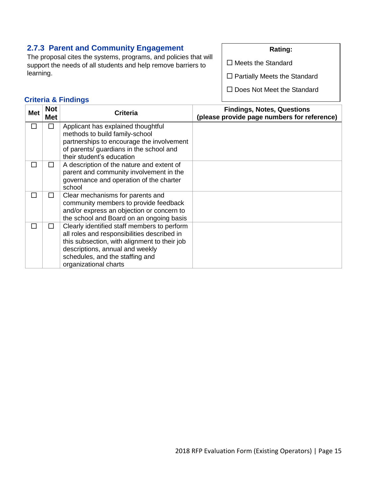# **2.7.3 Parent and Community Engagement**

The proposal cites the systems, programs, and policies that will support the needs of all students and help remove barriers to learning.

#### **Rating:**

 $\square$  Meets the Standard

□ Partially Meets the Standard

□ Does Not Meet the Standard

| <b>Met</b> | <b>Not</b><br>Met | <b>Criteria</b>                                                           | <b>Findings, Notes, Questions</b><br>(please provide page numbers for reference) |
|------------|-------------------|---------------------------------------------------------------------------|----------------------------------------------------------------------------------|
| П          | □                 | Applicant has explained thoughtful                                        |                                                                                  |
|            |                   | methods to build family-school                                            |                                                                                  |
|            |                   | partnerships to encourage the involvement                                 |                                                                                  |
|            |                   | of parents/ guardians in the school and                                   |                                                                                  |
|            |                   | their student's education                                                 |                                                                                  |
| П          | П                 | A description of the nature and extent of                                 |                                                                                  |
|            |                   | parent and community involvement in the                                   |                                                                                  |
|            |                   | governance and operation of the charter                                   |                                                                                  |
|            |                   | school                                                                    |                                                                                  |
| П          | LΙ                | Clear mechanisms for parents and<br>community members to provide feedback |                                                                                  |
|            |                   | and/or express an objection or concern to                                 |                                                                                  |
|            |                   | the school and Board on an ongoing basis                                  |                                                                                  |
| П          | $\mathsf{L}$      | Clearly identified staff members to perform                               |                                                                                  |
|            |                   | all roles and responsibilities described in                               |                                                                                  |
|            |                   | this subsection, with alignment to their job                              |                                                                                  |
|            |                   | descriptions, annual and weekly                                           |                                                                                  |
|            |                   | schedules, and the staffing and                                           |                                                                                  |
|            |                   | organizational charts                                                     |                                                                                  |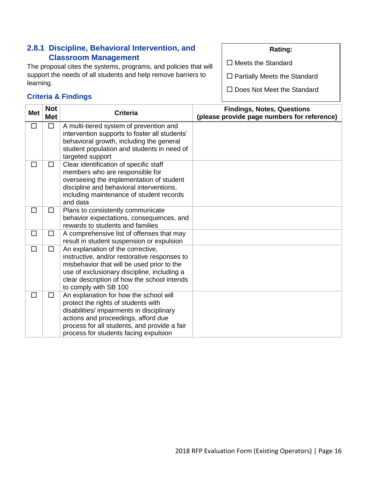# **2.8.1 Discipline, Behavioral Intervention, and Classroom Management**

The proposal cites the systems, programs, and policies that will support the needs of all students and help remove barriers to learning.

## **Criteria & Findings**

**Rating:**

 $\square$  Meets the Standard

□ Partially Meets the Standard

| <b>Met</b> | <b>Not</b><br><b>Met</b> | <b>Criteria</b>                                                                                                                                                                                                                                            | <b>Findings, Notes, Questions</b><br>(please provide page numbers for reference) |
|------------|--------------------------|------------------------------------------------------------------------------------------------------------------------------------------------------------------------------------------------------------------------------------------------------------|----------------------------------------------------------------------------------|
| □          | $\Box$                   | A multi-tiered system of prevention and<br>intervention supports to foster all students'<br>behavioral growth, including the general<br>student population and students in need of<br>targeted support                                                     |                                                                                  |
| □          | □                        | Clear identification of specific staff<br>members who are responsible for<br>overseeing the implementation of student<br>discipline and behavioral interventions,<br>including maintenance of student records<br>and data                                  |                                                                                  |
| □          | □                        | Plans to consistently communicate<br>behavior expectations, consequences, and<br>rewards to students and families                                                                                                                                          |                                                                                  |
| □          | □                        | A comprehensive list of offenses that may<br>result in student suspension or expulsion                                                                                                                                                                     |                                                                                  |
| □          | □                        | An explanation of the corrective,<br>instructive, and/or restorative responses to<br>misbehavior that will be used prior to the<br>use of exclusionary discipline, including a<br>clear description of how the school intends<br>to comply with SB 100     |                                                                                  |
| П          | П                        | An explanation for how the school will<br>protect the rights of students with<br>disabilities/ impairments in disciplinary<br>actions and proceedings, afford due<br>process for all students, and provide a fair<br>process for students facing expulsion |                                                                                  |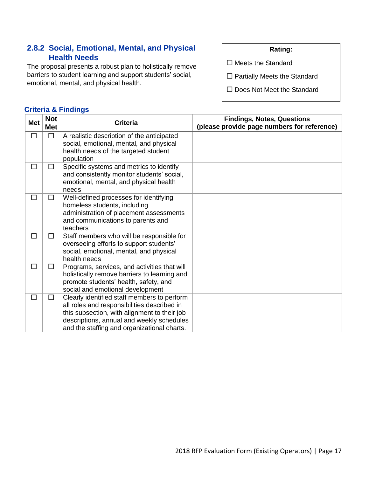# **2.8.2 Social, Emotional, Mental, and Physical Health Needs**

The proposal presents a robust plan to holistically remove barriers to student learning and support students' social, emotional, mental, and physical health.

### **Criteria & Findings**

#### **Rating:**

 $\square$  Meets the Standard

□ Partially Meets the Standard

| <b>Met</b> | <b>Not</b><br><b>Met</b> | <b>Criteria</b>                                                                                                                                                                                                                        | <b>Findings, Notes, Questions</b><br>(please provide page numbers for reference) |
|------------|--------------------------|----------------------------------------------------------------------------------------------------------------------------------------------------------------------------------------------------------------------------------------|----------------------------------------------------------------------------------|
| □          | $\Box$                   | A realistic description of the anticipated<br>social, emotional, mental, and physical<br>health needs of the targeted student<br>population                                                                                            |                                                                                  |
| □          | □                        | Specific systems and metrics to identify<br>and consistently monitor students' social,<br>emotional, mental, and physical health<br>needs                                                                                              |                                                                                  |
| П          | □                        | Well-defined processes for identifying<br>homeless students, including<br>administration of placement assessments<br>and communications to parents and<br>teachers                                                                     |                                                                                  |
| □          | $\Box$                   | Staff members who will be responsible for<br>overseeing efforts to support students'<br>social, emotional, mental, and physical<br>health needs                                                                                        |                                                                                  |
| □          | □                        | Programs, services, and activities that will<br>holistically remove barriers to learning and<br>promote students' health, safety, and<br>social and emotional development                                                              |                                                                                  |
| п          | $\Box$                   | Clearly identified staff members to perform<br>all roles and responsibilities described in<br>this subsection, with alignment to their job<br>descriptions, annual and weekly schedules<br>and the staffing and organizational charts. |                                                                                  |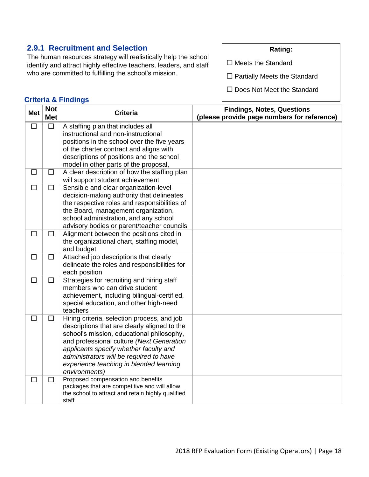# **2.9.1 Recruitment and Selection**

The human resources strategy will realistically help the school identify and attract highly effective teachers, leaders, and staff who are committed to fulfilling the school's mission.

#### **Rating:**

 $\square$  Meets the Standard

□ Partially Meets the Standard

□ Does Not Meet the Standard

| <b>Met</b> | <b>Not</b><br><b>Met</b> | <b>Criteria</b>                                                                                                                                                                                                                                                                                                                        | <b>Findings, Notes, Questions</b><br>(please provide page numbers for reference) |
|------------|--------------------------|----------------------------------------------------------------------------------------------------------------------------------------------------------------------------------------------------------------------------------------------------------------------------------------------------------------------------------------|----------------------------------------------------------------------------------|
| $\Box$     | □                        | A staffing plan that includes all<br>instructional and non-instructional<br>positions in the school over the five years<br>of the charter contract and aligns with<br>descriptions of positions and the school<br>model in other parts of the proposal,                                                                                |                                                                                  |
| □          | $\Box$                   | A clear description of how the staffing plan<br>will support student achievement                                                                                                                                                                                                                                                       |                                                                                  |
| $\Box$     | $\Box$                   | Sensible and clear organization-level<br>decision-making authority that delineates<br>the respective roles and responsibilities of<br>the Board, management organization,<br>school administration, and any school<br>advisory bodies or parent/teacher councils                                                                       |                                                                                  |
| $\Box$     | $\Box$                   | Alignment between the positions cited in<br>the organizational chart, staffing model,<br>and budget                                                                                                                                                                                                                                    |                                                                                  |
| $\Box$     | $\Box$                   | Attached job descriptions that clearly<br>delineate the roles and responsibilities for<br>each position                                                                                                                                                                                                                                |                                                                                  |
| $\Box$     | $\Box$                   | Strategies for recruiting and hiring staff<br>members who can drive student<br>achievement, including bilingual-certified,<br>special education, and other high-need<br>teachers                                                                                                                                                       |                                                                                  |
| □          | □                        | Hiring criteria, selection process, and job<br>descriptions that are clearly aligned to the<br>school's mission, educational philosophy,<br>and professional culture (Next Generation<br>applicants specify whether faculty and<br>administrators will be required to have<br>experience teaching in blended learning<br>environments) |                                                                                  |
| $\Box$     | $\Box$                   | Proposed compensation and benefits<br>packages that are competitive and will allow<br>the school to attract and retain highly qualified<br>staff                                                                                                                                                                                       |                                                                                  |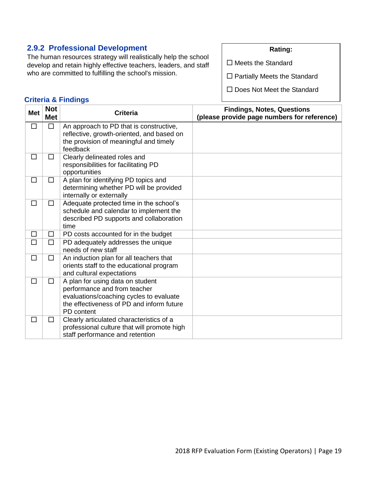# **2.9.2 Professional Development**

The human resources strategy will realistically help the school develop and retain highly effective teachers, leaders, and staff who are committed to fulfilling the school's mission.

#### **Rating:**

 $\square$  Meets the Standard

□ Partially Meets the Standard

□ Does Not Meet the Standard

| <b>Met</b> | <b>Not</b><br><b>Met</b> | <b>Criteria</b>                                                                                                                                                        | <b>Findings, Notes, Questions</b><br>(please provide page numbers for reference) |
|------------|--------------------------|------------------------------------------------------------------------------------------------------------------------------------------------------------------------|----------------------------------------------------------------------------------|
| $\Box$     | $\Box$                   | An approach to PD that is constructive,<br>reflective, growth-oriented, and based on<br>the provision of meaningful and timely<br>feedback                             |                                                                                  |
| П          | □                        | Clearly delineated roles and<br>responsibilities for facilitating PD<br>opportunities                                                                                  |                                                                                  |
| □          | $\Box$                   | A plan for identifying PD topics and<br>determining whether PD will be provided<br>internally or externally                                                            |                                                                                  |
| □          | $\Box$                   | Adequate protected time in the school's<br>schedule and calendar to implement the<br>described PD supports and collaboration<br>time                                   |                                                                                  |
| $\Box$     | $\Box$                   | PD costs accounted for in the budget                                                                                                                                   |                                                                                  |
| $\Box$     | $\Box$                   | PD adequately addresses the unique<br>needs of new staff                                                                                                               |                                                                                  |
| $\Box$     | □                        | An induction plan for all teachers that<br>orients staff to the educational program<br>and cultural expectations                                                       |                                                                                  |
| $\Box$     | $\Box$                   | A plan for using data on student<br>performance and from teacher<br>evaluations/coaching cycles to evaluate<br>the effectiveness of PD and inform future<br>PD content |                                                                                  |
| П          | □                        | Clearly articulated characteristics of a<br>professional culture that will promote high<br>staff performance and retention                                             |                                                                                  |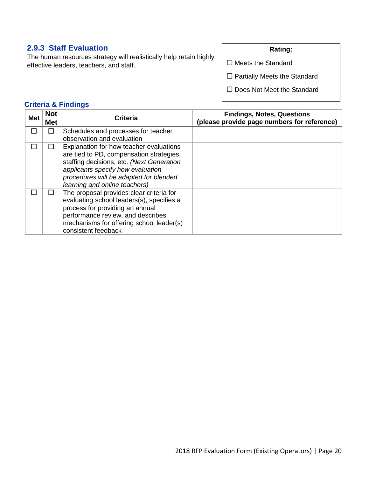# **2.9.3 Staff Evaluation**

The human resources strategy will realistically help retain highly effective leaders, teachers, and staff.

#### **Rating:**

 $\square$  Meets the Standard

□ Partially Meets the Standard

□ Does Not Meet the Standard

| <b>Met</b>               | <b>Not</b><br><b>Met</b> | <b>Criteria</b>                                                                                                                                                                                                                                  | <b>Findings, Notes, Questions</b><br>(please provide page numbers for reference) |
|--------------------------|--------------------------|--------------------------------------------------------------------------------------------------------------------------------------------------------------------------------------------------------------------------------------------------|----------------------------------------------------------------------------------|
| $\overline{\phantom{a}}$ | П                        | Schedules and processes for teacher<br>observation and evaluation                                                                                                                                                                                |                                                                                  |
|                          | П                        | Explanation for how teacher evaluations<br>are tied to PD, compensation strategies,<br>staffing decisions, etc. (Next Generation<br>applicants specify how evaluation<br>procedures will be adapted for blended<br>learning and online teachers) |                                                                                  |
|                          | H                        | The proposal provides clear criteria for<br>evaluating school leaders(s), specifies a<br>process for providing an annual<br>performance review, and describes<br>mechanisms for offering school leader(s)<br>consistent feedback                 |                                                                                  |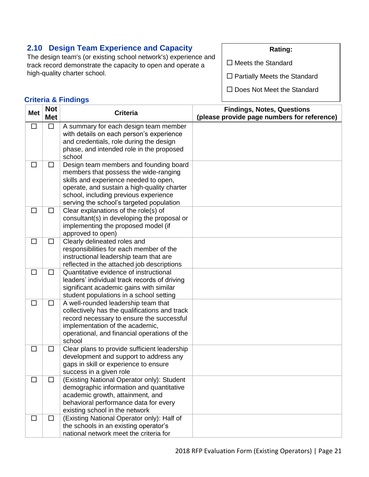# **2.10 Design Team Experience and Capacity**

The design team's (or existing school network's) experience and track record demonstrate the capacity to open and operate a high-quality charter school.

**Rating:**

 $\square$  Meets the Standard

□ Partially Meets the Standard

□ Does Not Meet the Standard

| <b>Met</b> | <b>Not</b><br><b>Met</b> | <b>Criteria</b>                                                                                                                                                                                                                                              | <b>Findings, Notes, Questions</b><br>(please provide page numbers for reference) |
|------------|--------------------------|--------------------------------------------------------------------------------------------------------------------------------------------------------------------------------------------------------------------------------------------------------------|----------------------------------------------------------------------------------|
| □          | $\Box$                   | A summary for each design team member<br>with details on each person's experience<br>and credentials, role during the design<br>phase, and intended role in the proposed<br>school                                                                           |                                                                                  |
| $\Box$     | $\Box$                   | Design team members and founding board<br>members that possess the wide-ranging<br>skills and experience needed to open,<br>operate, and sustain a high-quality charter<br>school, including previous experience<br>serving the school's targeted population |                                                                                  |
| $\Box$     | $\Box$                   | Clear explanations of the role(s) of<br>consultant(s) in developing the proposal or<br>implementing the proposed model (if<br>approved to open)                                                                                                              |                                                                                  |
| $\Box$     | $\Box$                   | Clearly delineated roles and<br>responsibilities for each member of the<br>instructional leadership team that are<br>reflected in the attached job descriptions                                                                                              |                                                                                  |
| $\Box$     | $\Box$                   | Quantitative evidence of instructional<br>leaders' individual track records of driving<br>significant academic gains with similar<br>student populations in a school setting                                                                                 |                                                                                  |
| □          | $\Box$                   | A well-rounded leadership team that<br>collectively has the qualifications and track<br>record necessary to ensure the successful<br>implementation of the academic,<br>operational, and financial operations of the<br>school                               |                                                                                  |
| $\Box$     | □                        | Clear plans to provide sufficient leadership<br>development and support to address any<br>gaps in skill or experience to ensure<br>success in a given role                                                                                                   |                                                                                  |
| $\Box$     | □                        | (Existing National Operator only): Student<br>demographic information and quantitative<br>academic growth, attainment, and<br>behavioral performance data for every<br>existing school in the network                                                        |                                                                                  |
| $\Box$     | $\Box$                   | (Existing National Operator only): Half of<br>the schools in an existing operator's<br>national network meet the criteria for                                                                                                                                |                                                                                  |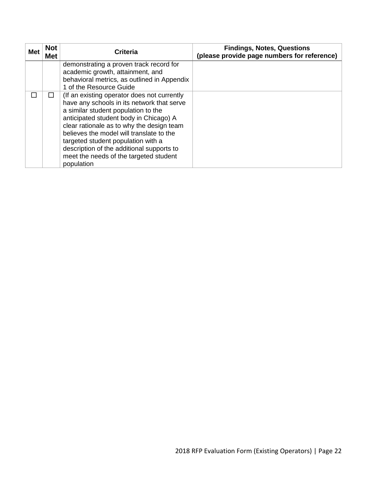| <b>Met</b> | <b>Not</b><br><b>Met</b> | <b>Criteria</b>                                                                                                                                                                                                                                                                                                                                                                                                | <b>Findings, Notes, Questions</b><br>(please provide page numbers for reference) |
|------------|--------------------------|----------------------------------------------------------------------------------------------------------------------------------------------------------------------------------------------------------------------------------------------------------------------------------------------------------------------------------------------------------------------------------------------------------------|----------------------------------------------------------------------------------|
|            |                          | demonstrating a proven track record for<br>academic growth, attainment, and<br>behavioral metrics, as outlined in Appendix<br>1 of the Resource Guide                                                                                                                                                                                                                                                          |                                                                                  |
|            |                          | (If an existing operator does not currently<br>have any schools in its network that serve<br>a similar student population to the<br>anticipated student body in Chicago) A<br>clear rationale as to why the design team<br>believes the model will translate to the<br>targeted student population with a<br>description of the additional supports to<br>meet the needs of the targeted student<br>population |                                                                                  |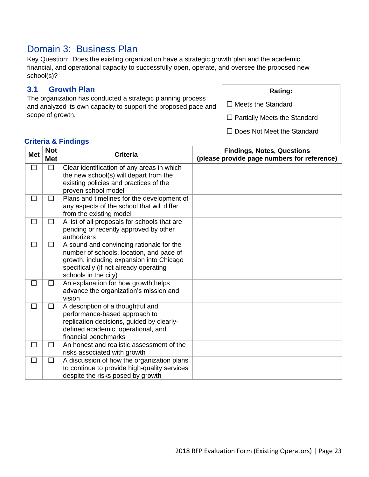# Domain 3: Business Plan

Key Question: Does the existing organization have a strategic growth plan and the academic, financial, and operational capacity to successfully open, operate, and oversee the proposed new school(s)?

# **3.1 Growth Plan**

The organization has conducted a strategic planning process and analyzed its own capacity to support the proposed pace and scope of growth.

### **Rating:**

 $\square$  Meets the Standard

 $\square$  Partially Meets the Standard

□ Does Not Meet the Standard

| <b>Met</b> | <b>Not</b><br><b>Met</b> | <b>Criteria</b>                                                                                                                                                                                    | <b>Findings, Notes, Questions</b><br>(please provide page numbers for reference) |
|------------|--------------------------|----------------------------------------------------------------------------------------------------------------------------------------------------------------------------------------------------|----------------------------------------------------------------------------------|
| $\Box$     | □                        | Clear identification of any areas in which<br>the new school(s) will depart from the<br>existing policies and practices of the<br>proven school model                                              |                                                                                  |
| □          | $\Box$                   | Plans and timelines for the development of<br>any aspects of the school that will differ<br>from the existing model                                                                                |                                                                                  |
| □          | □                        | A list of all proposals for schools that are<br>pending or recently approved by other<br>authorizers                                                                                               |                                                                                  |
| □          | □                        | A sound and convincing rationale for the<br>number of schools, location, and pace of<br>growth, including expansion into Chicago<br>specifically (if not already operating<br>schools in the city) |                                                                                  |
| □          | □                        | An explanation for how growth helps<br>advance the organization's mission and<br>vision                                                                                                            |                                                                                  |
| □          | □                        | A description of a thoughtful and<br>performance-based approach to<br>replication decisions, guided by clearly-<br>defined academic, operational, and<br>financial benchmarks                      |                                                                                  |
| $\Box$     | □                        | An honest and realistic assessment of the<br>risks associated with growth                                                                                                                          |                                                                                  |
| □          | □                        | A discussion of how the organization plans<br>to continue to provide high-quality services<br>despite the risks posed by growth                                                                    |                                                                                  |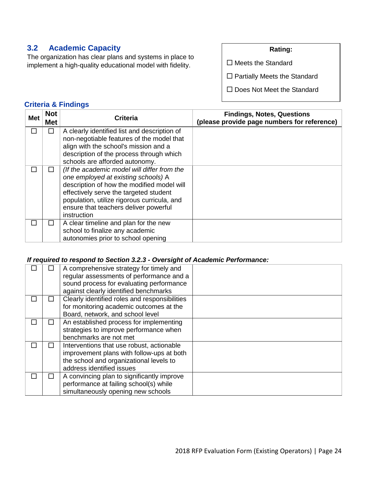# **3.2 Academic Capacity**

The organization has clear plans and systems in place to implement a high-quality educational model with fidelity.

**Rating:**

 $\square$  Meets the Standard

□ Partially Meets the Standard

□ Does Not Meet the Standard

### **Criteria & Findings**

| Met | <b>Not</b><br>Met | <b>Criteria</b>                                                                                                                                                                                                                                                                   | <b>Findings, Notes, Questions</b><br>(please provide page numbers for reference) |
|-----|-------------------|-----------------------------------------------------------------------------------------------------------------------------------------------------------------------------------------------------------------------------------------------------------------------------------|----------------------------------------------------------------------------------|
|     |                   | A clearly identified list and description of<br>non-negotiable features of the model that<br>align with the school's mission and a<br>description of the process through which<br>schools are afforded autonomy.                                                                  |                                                                                  |
|     |                   | (If the academic model will differ from the<br>one employed at existing schools) A<br>description of how the modified model will<br>effectively serve the targeted student<br>population, utilize rigorous curricula, and<br>ensure that teachers deliver powerful<br>instruction |                                                                                  |
|     |                   | A clear timeline and plan for the new<br>school to finalize any academic<br>autonomies prior to school opening                                                                                                                                                                    |                                                                                  |

#### *If required to respond to Section 3.2.3 - Oversight of Academic Performance:*

|   | A comprehensive strategy for timely and<br>regular assessments of performance and a<br>sound process for evaluating performance<br>against clearly identified benchmarks |  |
|---|--------------------------------------------------------------------------------------------------------------------------------------------------------------------------|--|
|   | Clearly identified roles and responsibilities<br>for monitoring academic outcomes at the<br>Board, network, and school level                                             |  |
|   | An established process for implementing<br>strategies to improve performance when<br>benchmarks are not met                                                              |  |
| H | Interventions that use robust, actionable<br>improvement plans with follow-ups at both<br>the school and organizational levels to<br>address identified issues           |  |
|   | A convincing plan to significantly improve<br>performance at failing school(s) while<br>simultaneously opening new schools                                               |  |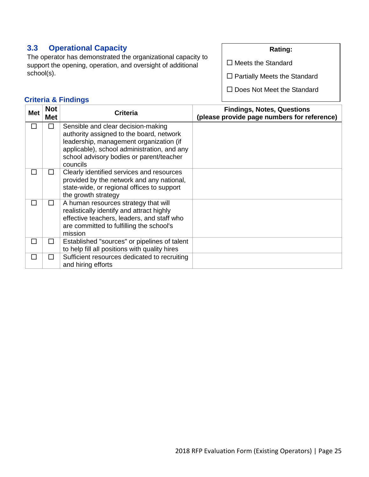# **3.3 Operational Capacity**

The operator has demonstrated the organizational capacity to support the opening, operation, and oversight of additional school(s).

#### **Rating:**

 $\square$  Meets the Standard

□ Partially Meets the Standard

□ Does Not Meet the Standard

| <b>Met</b> | <b>Not</b><br>Met | <b>Criteria</b>                                                                                                                                                                                                                  | <b>Findings, Notes, Questions</b><br>(please provide page numbers for reference) |
|------------|-------------------|----------------------------------------------------------------------------------------------------------------------------------------------------------------------------------------------------------------------------------|----------------------------------------------------------------------------------|
| П          | П                 | Sensible and clear decision-making<br>authority assigned to the board, network<br>leadership, management organization (if<br>applicable), school administration, and any<br>school advisory bodies or parent/teacher<br>councils |                                                                                  |
| П          | $\mathsf{L}$      | Clearly identified services and resources<br>provided by the network and any national,<br>state-wide, or regional offices to support<br>the growth strategy                                                                      |                                                                                  |
| П          | П                 | A human resources strategy that will<br>realistically identify and attract highly<br>effective teachers, leaders, and staff who<br>are committed to fulfilling the school's<br>mission                                           |                                                                                  |
| П          | П                 | Established "sources" or pipelines of talent<br>to help fill all positions with quality hires                                                                                                                                    |                                                                                  |
| П          | □                 | Sufficient resources dedicated to recruiting<br>and hiring efforts                                                                                                                                                               |                                                                                  |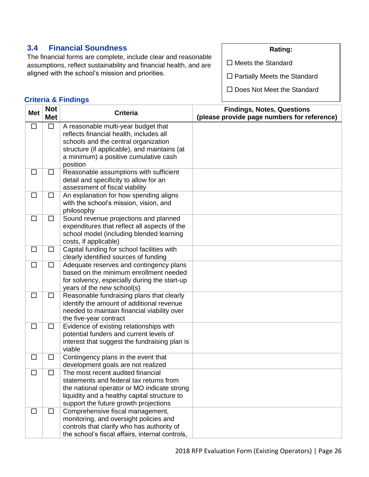# **3.4 Financial Soundness**

The financial forms are complete, include clear and reasonable assumptions, reflect sustainability and financial health, and are aligned with the school's mission and priorities.

#### **Rating:**

 $\square$  Meets the Standard

□ Partially Meets the Standard

□ Does Not Meet the Standard

| <b>Met</b> | <b>Not</b><br><b>Met</b> | <b>Criteria</b>                                                                                                                                                                                                             | <b>Findings, Notes, Questions</b><br>(please provide page numbers for reference) |
|------------|--------------------------|-----------------------------------------------------------------------------------------------------------------------------------------------------------------------------------------------------------------------------|----------------------------------------------------------------------------------|
| $\Box$     | $\Box$                   | A reasonable multi-year budget that<br>reflects financial health, includes all<br>schools and the central organization<br>structure (if applicable), and maintains (at<br>a minimum) a positive cumulative cash<br>position |                                                                                  |
| $\Box$     | $\Box$                   | Reasonable assumptions with sufficient<br>detail and specificity to allow for an<br>assessment of fiscal viability                                                                                                          |                                                                                  |
| $\Box$     | $\Box$                   | An explanation for how spending aligns<br>with the school's mission, vision, and<br>philosophy                                                                                                                              |                                                                                  |
| $\Box$     | $\Box$                   | Sound revenue projections and planned<br>expenditures that reflect all aspects of the<br>school model (including blended learning<br>costs, if applicable)                                                                  |                                                                                  |
| $\Box$     | $\Box$                   | Capital funding for school facilities with<br>clearly identified sources of funding                                                                                                                                         |                                                                                  |
| $\Box$     | $\Box$                   | Adequate reserves and contingency plans<br>based on the minimum enrollment needed<br>for solvency, especially during the start-up<br>years of the new school(s)                                                             |                                                                                  |
| □          | $\Box$                   | Reasonable fundraising plans that clearly<br>identify the amount of additional revenue<br>needed to maintain financial viability over<br>the five-year contract                                                             |                                                                                  |
| $\Box$     | $\Box$                   | Evidence of existing relationships with<br>potential funders and current levels of<br>interest that suggest the fundraising plan is<br>viable                                                                               |                                                                                  |
| $\Box$     | $\Box$                   | Contingency plans in the event that<br>development goals are not realized                                                                                                                                                   |                                                                                  |
| □          | $\Box$                   | The most recent audited financial<br>statements and federal tax returns from<br>the national operator or MO indicate strong<br>liquidity and a healthy capital structure to<br>support the future growth projections        |                                                                                  |
| □          | $\Box$                   | Comprehensive fiscal management,<br>monitoring, and oversight policies and<br>controls that clarify who has authority of<br>the school's fiscal affairs, internal controls,                                                 |                                                                                  |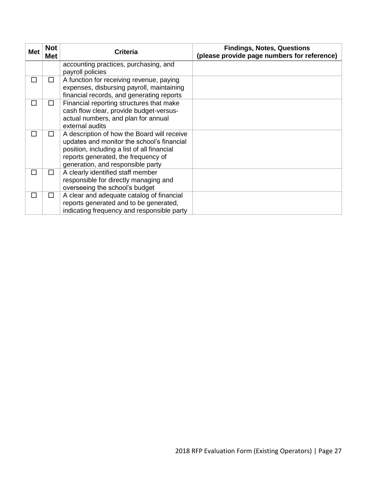| <b>Met</b> | <b>Not</b><br><b>Met</b> | <b>Criteria</b>                                                                                                                                                                                                      | <b>Findings, Notes, Questions</b><br>(please provide page numbers for reference) |
|------------|--------------------------|----------------------------------------------------------------------------------------------------------------------------------------------------------------------------------------------------------------------|----------------------------------------------------------------------------------|
|            |                          | accounting practices, purchasing, and<br>payroll policies                                                                                                                                                            |                                                                                  |
| $\Box$     | □                        | A function for receiving revenue, paying<br>expenses, disbursing payroll, maintaining<br>financial records, and generating reports                                                                                   |                                                                                  |
| $\Box$     | □                        | Financial reporting structures that make<br>cash flow clear, provide budget-versus-<br>actual numbers, and plan for annual<br>external audits                                                                        |                                                                                  |
| П          | ΙI                       | A description of how the Board will receive<br>updates and monitor the school's financial<br>position, including a list of all financial<br>reports generated, the frequency of<br>generation, and responsible party |                                                                                  |
| П          | п                        | A clearly identified staff member<br>responsible for directly managing and<br>overseeing the school's budget                                                                                                         |                                                                                  |
| ΙI         | $\mathsf{L}$             | A clear and adequate catalog of financial<br>reports generated and to be generated,<br>indicating frequency and responsible party                                                                                    |                                                                                  |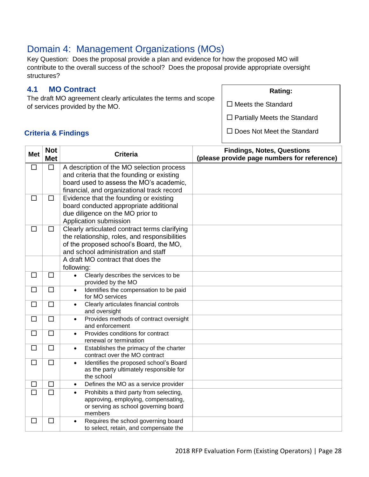# Domain 4: Management Organizations (MOs)

Key Question: Does the proposal provide a plan and evidence for how the proposed MO will contribute to the overall success of the school? Does the proposal provide appropriate oversight structures?

## **4.1 MO Contract**

The draft MO agreement clearly articulates the terms and scope of services provided by the MO.

**Rating:**

 $\square$  Meets the Standard

 $\square$  Partially Meets the Standard

**Criteria & Findings**

| <b>Met</b> | <b>Not</b><br><b>Met</b> | <b>Criteria</b>                                                                          | <b>Findings, Notes, Questions</b><br>(please provide page numbers for reference) |
|------------|--------------------------|------------------------------------------------------------------------------------------|----------------------------------------------------------------------------------|
| $\Box$     | $\Box$                   | A description of the MO selection process                                                |                                                                                  |
|            |                          | and criteria that the founding or existing                                               |                                                                                  |
|            |                          | board used to assess the MO's academic,                                                  |                                                                                  |
|            |                          | financial, and organizational track record                                               |                                                                                  |
| $\Box$     | $\Box$                   | Evidence that the founding or existing                                                   |                                                                                  |
|            |                          | board conducted appropriate additional                                                   |                                                                                  |
|            |                          | due diligence on the MO prior to                                                         |                                                                                  |
|            |                          | Application submission                                                                   |                                                                                  |
| □          | $\Box$                   | Clearly articulated contract terms clarifying                                            |                                                                                  |
|            |                          | the relationship, roles, and responsibilities<br>of the proposed school's Board, the MO, |                                                                                  |
|            |                          | and school administration and staff                                                      |                                                                                  |
|            |                          | A draft MO contract that does the                                                        |                                                                                  |
|            |                          | following:                                                                               |                                                                                  |
| $\Box$     | $\Box$                   | Clearly describes the services to be<br>$\bullet$                                        |                                                                                  |
|            |                          | provided by the MO                                                                       |                                                                                  |
| □          | □                        | Identifies the compensation to be paid<br>$\bullet$                                      |                                                                                  |
| $\Box$     | □                        | for MO services                                                                          |                                                                                  |
|            |                          | Clearly articulates financial controls<br>$\bullet$<br>and oversight                     |                                                                                  |
| $\Box$     | $\Box$                   | Provides methods of contract oversight<br>$\bullet$<br>and enforcement                   |                                                                                  |
| □          | $\Box$                   | Provides conditions for contract<br>$\bullet$                                            |                                                                                  |
|            |                          | renewal or termination                                                                   |                                                                                  |
| $\Box$     | □                        | Establishes the primacy of the charter<br>$\bullet$<br>contract over the MO contract     |                                                                                  |
| $\Box$     | $\Box$                   | Identifies the proposed school's Board<br>$\bullet$                                      |                                                                                  |
|            |                          | as the party ultimately responsible for                                                  |                                                                                  |
|            |                          | the school                                                                               |                                                                                  |
| □          | $\Box$                   | Defines the MO as a service provider<br>$\bullet$                                        |                                                                                  |
| $\Box$     | $\Box$                   | Prohibits a third party from selecting,<br>$\bullet$                                     |                                                                                  |
|            |                          | approving, employing, compensating,                                                      |                                                                                  |
|            |                          | or serving as school governing board<br>members                                          |                                                                                  |
| □          | □                        | Requires the school governing board                                                      |                                                                                  |
|            |                          | to select, retain, and compensate the                                                    |                                                                                  |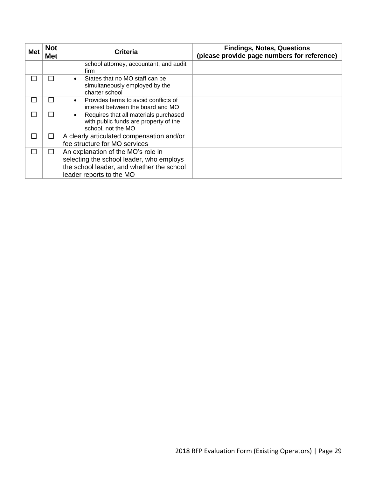| <b>Met</b> | <b>Not</b><br><b>Met</b> | <b>Criteria</b>                                                                                                                                         | <b>Findings, Notes, Questions</b><br>(please provide page numbers for reference) |
|------------|--------------------------|---------------------------------------------------------------------------------------------------------------------------------------------------------|----------------------------------------------------------------------------------|
|            |                          | school attorney, accountant, and audit<br>firm                                                                                                          |                                                                                  |
|            | $\sim$                   | States that no MO staff can be<br>simultaneously employed by the<br>charter school                                                                      |                                                                                  |
|            | ΙI                       | Provides terms to avoid conflicts of<br>interest between the board and MO                                                                               |                                                                                  |
|            | ΙI                       | Requires that all materials purchased<br>with public funds are property of the<br>school, not the MO                                                    |                                                                                  |
|            | ΙI                       | A clearly articulated compensation and/or<br>fee structure for MO services                                                                              |                                                                                  |
|            | П                        | An explanation of the MO's role in<br>selecting the school leader, who employs<br>the school leader, and whether the school<br>leader reports to the MO |                                                                                  |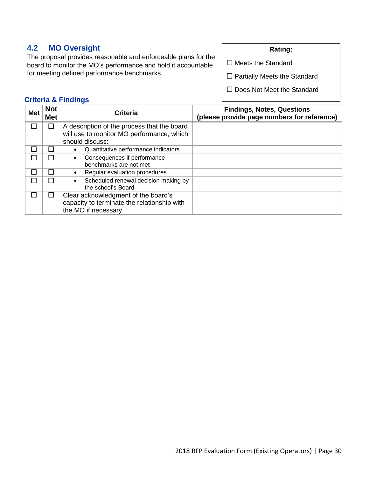# **4.2 MO Oversight**

The proposal provides reasonable and enforceable plans for the board to monitor the MO's performance and hold it accountable for meeting defined performance benchmarks.

#### **Rating:**

- $\square$  Meets the Standard
- □ Partially Meets the Standard
- □ Does Not Meet the Standard

| <b>Met</b> | <b>Not</b><br><b>Met</b> | <b>Criteria</b>                                                    | <b>Findings, Notes, Questions</b><br>(please provide page numbers for reference) |
|------------|--------------------------|--------------------------------------------------------------------|----------------------------------------------------------------------------------|
|            |                          | A description of the process that the board                        |                                                                                  |
|            |                          | will use to monitor MO performance, which                          |                                                                                  |
|            |                          | should discuss:                                                    |                                                                                  |
|            | H                        | Quantitative performance indicators<br>٠                           |                                                                                  |
|            |                          | Consequences if performance<br>$\bullet$<br>benchmarks are not met |                                                                                  |
| П          |                          | Regular evaluation procedures                                      |                                                                                  |
| П          | H                        | Scheduled renewal decision making by<br>the school's Board         |                                                                                  |
|            |                          | Clear acknowledgment of the board's                                |                                                                                  |
|            |                          | capacity to terminate the relationship with                        |                                                                                  |
|            |                          | the MO if necessary                                                |                                                                                  |